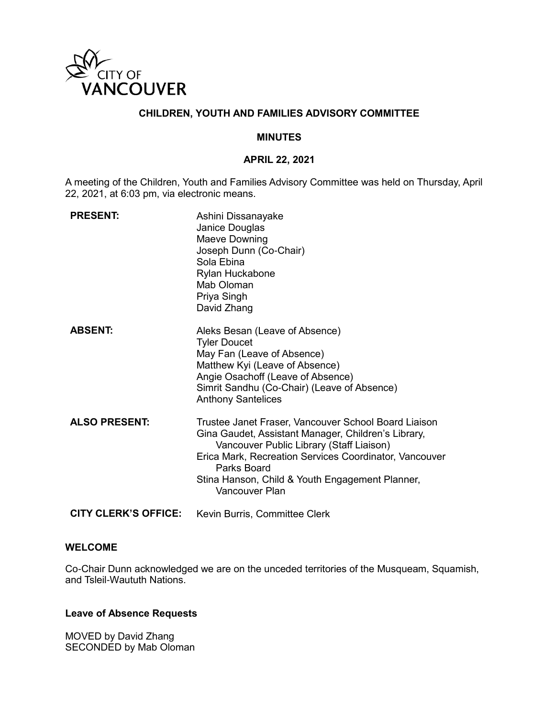

# **CHILDREN, YOUTH AND FAMILIES ADVISORY COMMITTEE**

#### **MINUTES**

#### **APRIL 22, 2021**

A meeting of the Children, Youth and Families Advisory Committee was held on Thursday, April 22, 2021, at 6:03 pm, via electronic means.

| <b>PRESENT:</b>             | Ashini Dissanayake<br>Janice Douglas<br>Maeve Downing<br>Joseph Dunn (Co-Chair)<br>Sola Ebina<br>Rylan Huckabone<br>Mab Oloman<br>Priya Singh<br>David Zhang                                                                                                                                          |
|-----------------------------|-------------------------------------------------------------------------------------------------------------------------------------------------------------------------------------------------------------------------------------------------------------------------------------------------------|
| <b>ABSENT:</b>              | Aleks Besan (Leave of Absence)<br><b>Tyler Doucet</b><br>May Fan (Leave of Absence)<br>Matthew Kyi (Leave of Absence)<br>Angie Osachoff (Leave of Absence)<br>Simrit Sandhu (Co-Chair) (Leave of Absence)<br><b>Anthony Santelices</b>                                                                |
| <b>ALSO PRESENT:</b>        | Trustee Janet Fraser, Vancouver School Board Liaison<br>Gina Gaudet, Assistant Manager, Children's Library,<br>Vancouver Public Library (Staff Liaison)<br>Erica Mark, Recreation Services Coordinator, Vancouver<br>Parks Board<br>Stina Hanson, Child & Youth Engagement Planner,<br>Vancouver Plan |
| <b>CITY CLERK'S OFFICE:</b> | Kevin Burris, Committee Clerk                                                                                                                                                                                                                                                                         |

#### **WELCOME**

Co-Chair Dunn acknowledged we are on the unceded territories of the Musqueam, Squamish, and Tsleil-Waututh Nations.

#### **Leave of Absence Requests**

MOVED by David Zhang SECONDED by Mab Oloman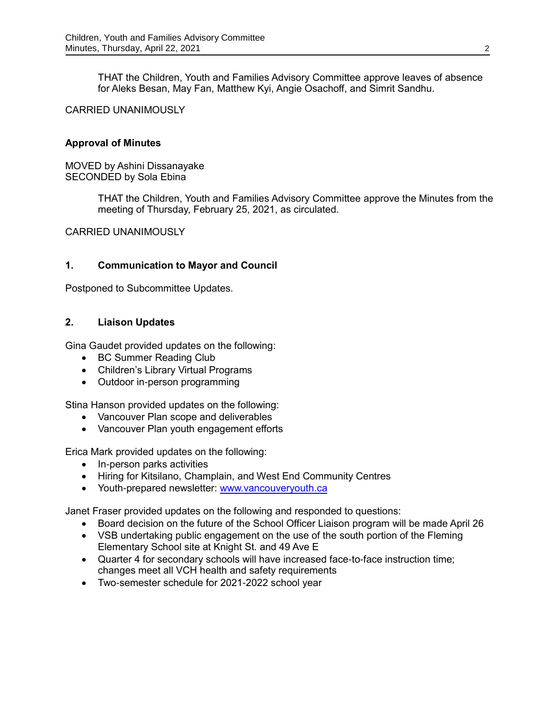THAT the Children, Youth and Families Advisory Committee approve leaves of absence for Aleks Besan, May Fan, Matthew Kyi, Angie Osachoff, and Simrit Sandhu.

### CARRIED UNANIMOUSLY

#### **Approval of Minutes**

MOVED by Ashini Dissanayake SECONDED by Sola Ebina

> THAT the Children, Youth and Families Advisory Committee approve the Minutes from the meeting of Thursday, February 25, 2021, as circulated.

CARRIED UNANIMOUSLY

#### **1. Communication to Mayor and Council**

Postponed to Subcommittee Updates.

#### **2. Liaison Updates**

Gina Gaudet provided updates on the following:

- BC Summer Reading Club
- Children's Library Virtual Programs
- Outdoor in-person programming

Stina Hanson provided updates on the following:

- Vancouver Plan scope and deliverables
- Vancouver Plan youth engagement efforts

Erica Mark provided updates on the following:

- In-person parks activities
- Hiring for Kitsilano, Champlain, and West End Community Centres
- Youth-prepared newsletter: [www.vancouveryouth.ca](http://www.vancouveryouth.ca/)

Janet Fraser provided updates on the following and responded to questions:

- Board decision on the future of the School Officer Liaison program will be made April 26
- VSB undertaking public engagement on the use of the south portion of the Fleming Elementary School site at Knight St. and 49 Ave E
- Quarter 4 for secondary schools will have increased face-to-face instruction time; changes meet all VCH health and safety requirements
- Two-semester schedule for 2021-2022 school year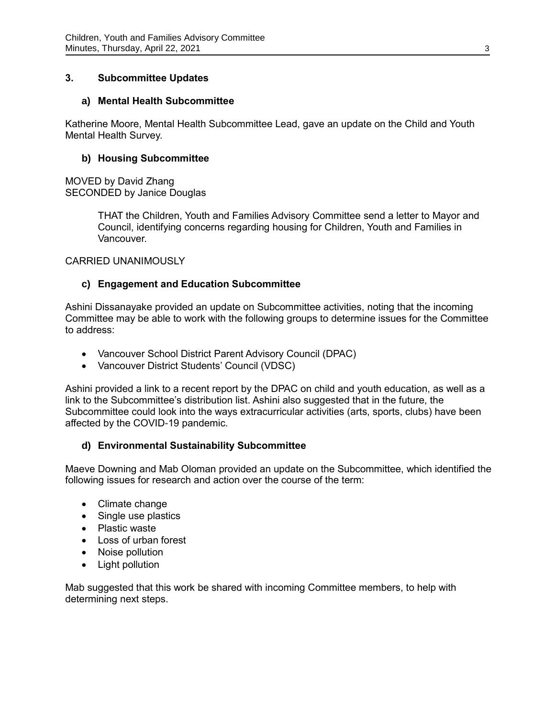## **3. Subcommittee Updates**

### **a) Mental Health Subcommittee**

Katherine Moore, Mental Health Subcommittee Lead, gave an update on the Child and Youth Mental Health Survey.

### **b) Housing Subcommittee**

MOVED by David Zhang SECONDED by Janice Douglas

> THAT the Children, Youth and Families Advisory Committee send a letter to Mayor and Council, identifying concerns regarding housing for Children, Youth and Families in Vancouver.

CARRIED UNANIMOUSLY

### **c) Engagement and Education Subcommittee**

Ashini Dissanayake provided an update on Subcommittee activities, noting that the incoming Committee may be able to work with the following groups to determine issues for the Committee to address:

- Vancouver School District Parent Advisory Council (DPAC)
- Vancouver District Students' Council (VDSC)

Ashini provided a link to a recent report by the DPAC on child and youth education, as well as a link to the Subcommittee's distribution list. Ashini also suggested that in the future, the Subcommittee could look into the ways extracurricular activities (arts, sports, clubs) have been affected by the COVID-19 pandemic.

## **d) Environmental Sustainability Subcommittee**

Maeve Downing and Mab Oloman provided an update on the Subcommittee, which identified the following issues for research and action over the course of the term:

- Climate change
- Single use plastics
- Plastic waste
- Loss of urban forest
- Noise pollution
- Light pollution

Mab suggested that this work be shared with incoming Committee members, to help with determining next steps.